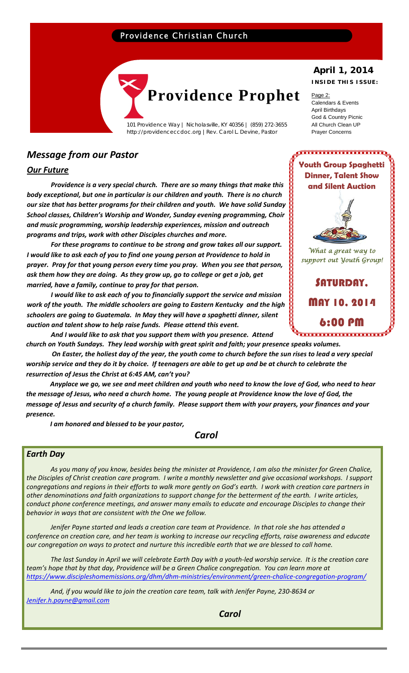# Providence Christian Church



101 Providence Way | Nicholasville, KY 40356 | (859) 272-3655 http://providenceccdoc.org |Rev. Carol L. Devine, Pastor

# *Message from our Pastor*

## *Our Future*

*Providence is a very special church. There are so many things that make this body exceptional, but one in particular is our children and youth. There is no church our size that has better programs for their children and youth. We have solid Sunday School classes, Children's Worship and Wonder, Sunday evening programming, Choir and music programming, worship leadership experiences, mission and outreach programs and trips, work with other Disciples churches and more.* 

*For these programs to continue to be strong and grow takes all our support. I would like to ask each of you to find one young person at Providence to hold in prayer. Pray for that young person every time you pray. When you see that person, ask them how they are doing. As they grow up, go to college or get a job, get married, have a family, continue to pray for that person.* 

*I would like to ask each of you to financially support the service and mission work of the youth. The middle schoolers are going to Eastern Kentucky and the high schoolers are going to Guatemala. In May they will have a spaghetti dinner, silent auction and talent show to help raise funds. Please attend this event.*

*And I would like to ask that you support them with you presence. Attend church on Youth Sundays. They lead worship with great spirit and faith; your presence speaks volumes.*

On Easter, the holiest day of the year, the youth come to church before the sun rises to lead a very special worship service and they do it by choice. If teenagers are able to get up and be at church to celebrate the *resurrection of Jesus the Christ at 6:45 AM, can't you?* 

Anyplace we go, we see and meet children and youth who need to know the love of God, who need to hear the message of Jesus, who need a church home. The young people at Providence know the love of God, the message of Jesus and security of a church family. Please support them with your prayers, your finances and your *presence.*

*I am honored and blessed to be your pastor,*

 *Carol*

## *Earth Day*

As you many of you know, besides being the minister at Providence, I am also the minister for Green Chalice, the Disciples of Christ creation care program. I write a monthly newsletter and give occasional workshops. I support congregations and regions in their efforts to walk more gently on God's earth. I work with creation care partners in other denominations and faith organizations to support change for the betterment of the earth. I write articles, *conduct phone conference meetings, and answer many emails to educate and encourage Disciples to change their behavior in ways that are consistent with the One we follow.* 

Jenifer Payne started and leads a creation care team at Providence. In that role she has attended a conference on creation care, and her team is working to increase our recycling efforts, raise awareness and educate our congregation on ways to protect and nurture this incredible earth that we are blessed to call home.

The last Sunday in April we will celebrate Earth Day with a youth-led worship service. It is the creation care team's hope that by that day, Providence will be a Green Chalice congregation. You can learn more at *https://www.discipleshomemissions.org/dhm/dhm‐ministries/environment/green‐chalice‐congregation‐program/*

*And, if you would like to join the creation care team, talk with Jenifer Payne, 230‐8634 or Jenifer.h.payne@gmail.com*

# **April 1, 2014**

**INSIDE THIS ISSUE:** 

Page 2: Calendars & Events April Birthdays God & Country Picnic All Church Clean UP Prayer Concerns



**Youth Group Spaghetti Dinner, Talent Show** 

,,,,,,,,,,,,,,,,,,,,,,,,,,,,,,

*What a great way to support out Youth Group!* 

SATURDAY, MAY 10, 2014 6:00 PM ,,,,,,,,,,,,,,,,,,,,,,,,,